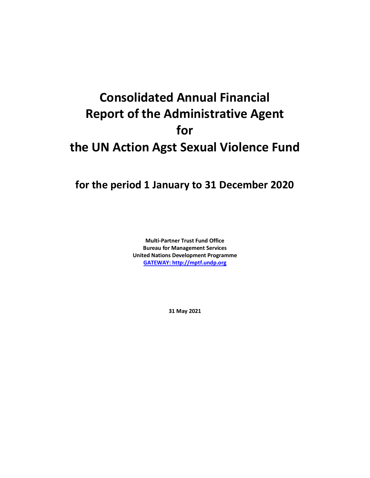## **Consolidated Annual Financial Report of the Administrative Agent for the UN Action Agst Sexual Violence Fund**

## **for the period 1 January to 31 December 2020**

**Multi-Partner Trust Fund Office Bureau for Management Services United Nations Development Programme [GATEWAY: http://mptf.undp.org](http://mptf.undp.org/)**

**31 May 2021**